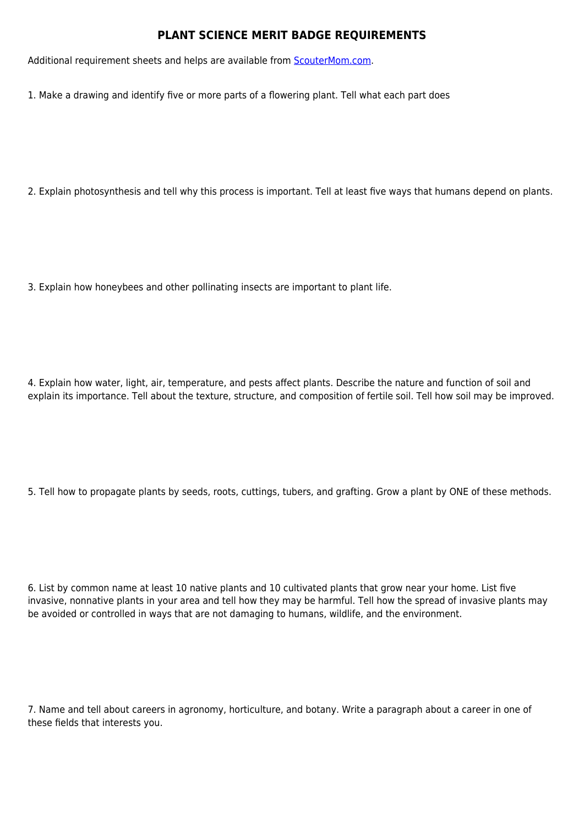## **PLANT SCIENCE MERIT BADGE REQUIREMENTS**

Additional requirement sheets and helps are available from [ScouterMom.com](http://scoutermom.com).

1. Make a drawing and identify five or more parts of a flowering plant. Tell what each part does

2. Explain photosynthesis and tell why this process is important. Tell at least five ways that humans depend on plants.

3. Explain how honeybees and other pollinating insects are important to plant life.

4. Explain how water, light, air, temperature, and pests affect plants. Describe the nature and function of soil and explain its importance. Tell about the texture, structure, and composition of fertile soil. Tell how soil may be improved.

5. Tell how to propagate plants by seeds, roots, cuttings, tubers, and grafting. Grow a plant by ONE of these methods.

6. List by common name at least 10 native plants and 10 cultivated plants that grow near your home. List five invasive, nonnative plants in your area and tell how they may be harmful. Tell how the spread of invasive plants may be avoided or controlled in ways that are not damaging to humans, wildlife, and the environment.

7. Name and tell about careers in agronomy, horticulture, and botany. Write a paragraph about a career in one of these fields that interests you.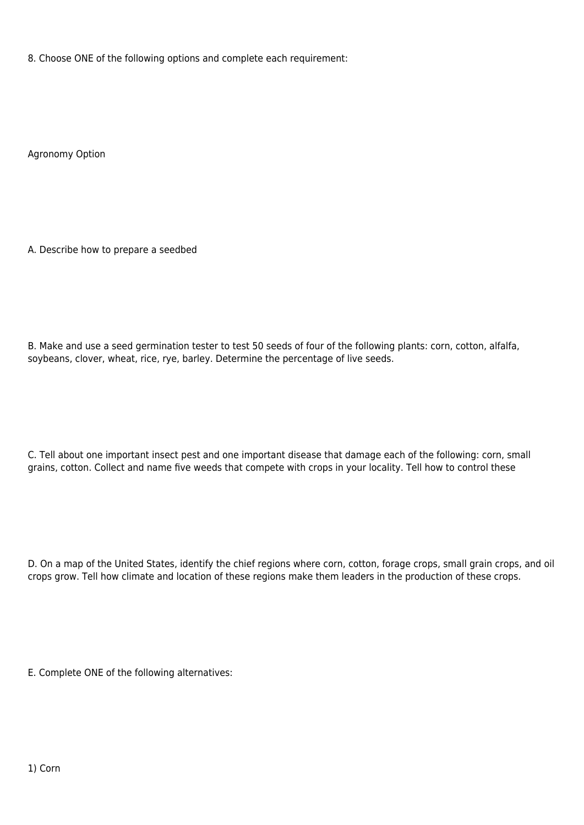8. Choose ONE of the following options and complete each requirement:

Agronomy Option

A. Describe how to prepare a seedbed

B. Make and use a seed germination tester to test 50 seeds of four of the following plants: corn, cotton, alfalfa, soybeans, clover, wheat, rice, rye, barley. Determine the percentage of live seeds.

C. Tell about one important insect pest and one important disease that damage each of the following: corn, small grains, cotton. Collect and name five weeds that compete with crops in your locality. Tell how to control these

D. On a map of the United States, identify the chief regions where corn, cotton, forage crops, small grain crops, and oil crops grow. Tell how climate and location of these regions make them leaders in the production of these crops.

E. Complete ONE of the following alternatives: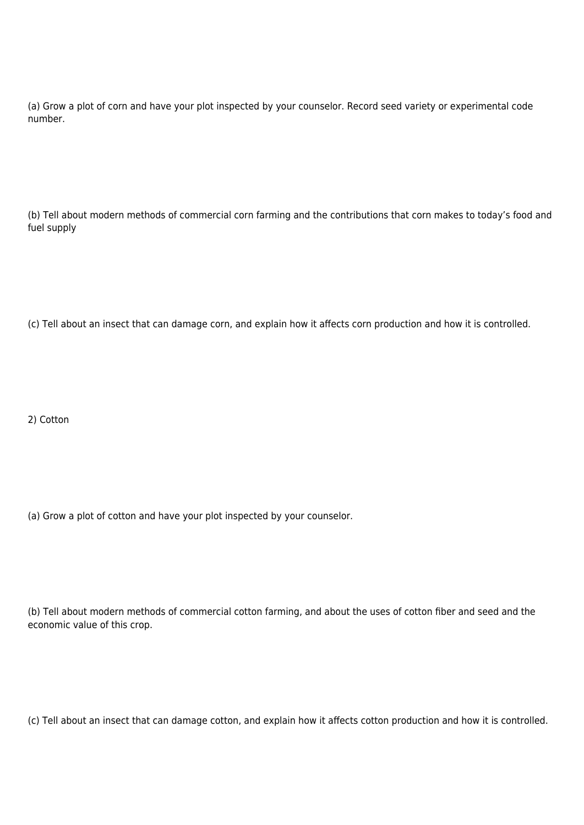(a) Grow a plot of corn and have your plot inspected by your counselor. Record seed variety or experimental code number.

(b) Tell about modern methods of commercial corn farming and the contributions that corn makes to today's food and fuel supply

(c) Tell about an insect that can damage corn, and explain how it affects corn production and how it is controlled.

2) Cotton

(a) Grow a plot of cotton and have your plot inspected by your counselor.

(b) Tell about modern methods of commercial cotton farming, and about the uses of cotton fiber and seed and the economic value of this crop.

(c) Tell about an insect that can damage cotton, and explain how it affects cotton production and how it is controlled.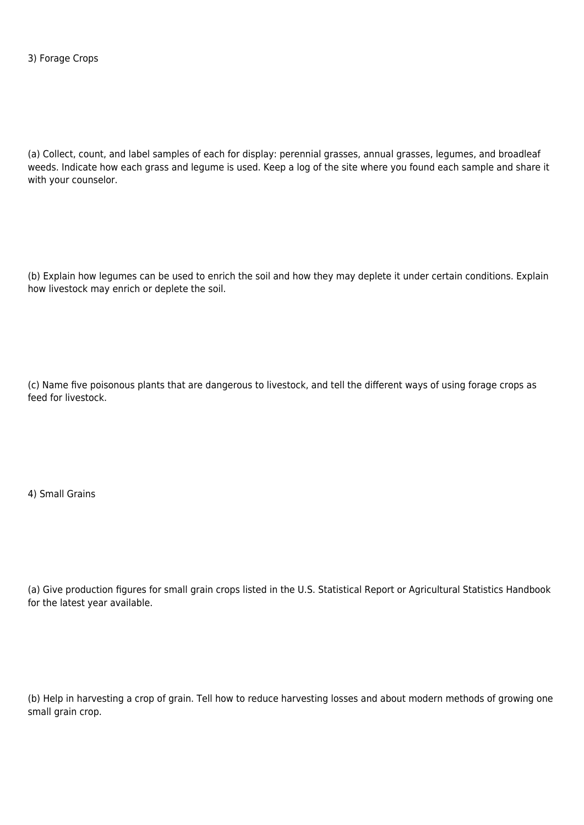(a) Collect, count, and label samples of each for display: perennial grasses, annual grasses, legumes, and broadleaf weeds. Indicate how each grass and legume is used. Keep a log of the site where you found each sample and share it with your counselor.

(b) Explain how legumes can be used to enrich the soil and how they may deplete it under certain conditions. Explain how livestock may enrich or deplete the soil.

(c) Name five poisonous plants that are dangerous to livestock, and tell the different ways of using forage crops as feed for livestock.

4) Small Grains

(a) Give production figures for small grain crops listed in the U.S. Statistical Report or Agricultural Statistics Handbook for the latest year available.

(b) Help in harvesting a crop of grain. Tell how to reduce harvesting losses and about modern methods of growing one small grain crop.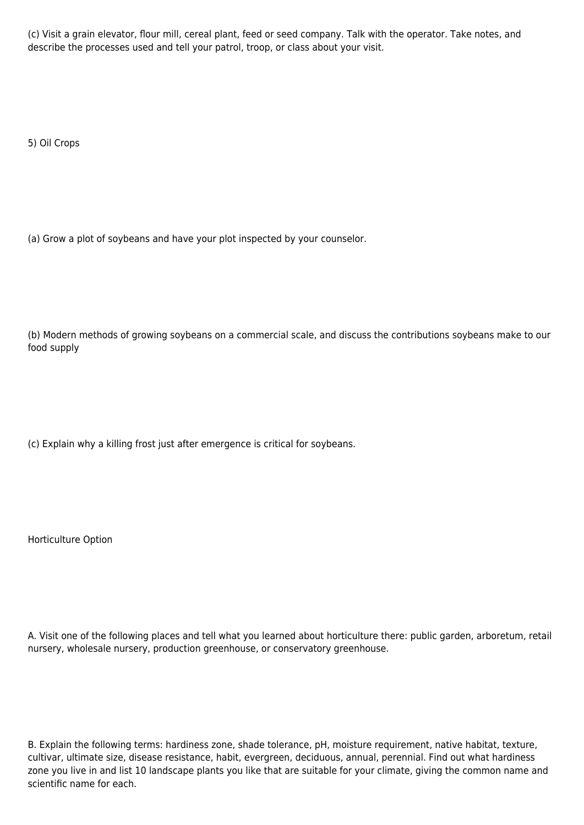(c) Visit a grain elevator, flour mill, cereal plant, feed or seed company. Talk with the operator. Take notes, and describe the processes used and tell your patrol, troop, or class about your visit.

5) Oil Crops

(a) Grow a plot of soybeans and have your plot inspected by your counselor.

(b) Modern methods of growing soybeans on a commercial scale, and discuss the contributions soybeans make to our food supply

(c) Explain why a killing frost just after emergence is critical for soybeans.

Horticulture Option

A. Visit one of the following places and tell what you learned about horticulture there: public garden, arboretum, retail nursery, wholesale nursery, production greenhouse, or conservatory greenhouse.

B. Explain the following terms: hardiness zone, shade tolerance, pH, moisture requirement, native habitat, texture, cultivar, ultimate size, disease resistance, habit, evergreen, deciduous, annual, perennial. Find out what hardiness zone you live in and list 10 landscape plants you like that are suitable for your climate, giving the common name and scientific name for each.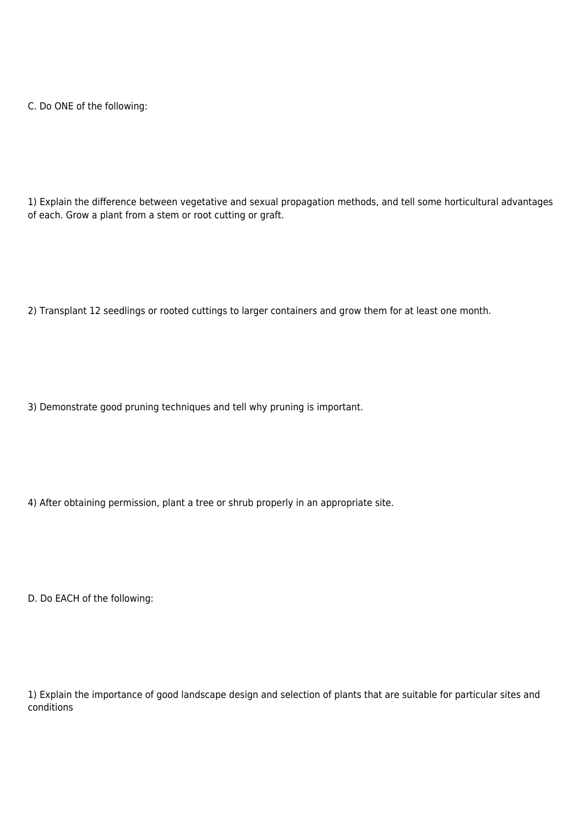C. Do ONE of the following:

1) Explain the difference between vegetative and sexual propagation methods, and tell some horticultural advantages of each. Grow a plant from a stem or root cutting or graft.

2) Transplant 12 seedlings or rooted cuttings to larger containers and grow them for at least one month.

3) Demonstrate good pruning techniques and tell why pruning is important.

4) After obtaining permission, plant a tree or shrub properly in an appropriate site.

D. Do EACH of the following:

1) Explain the importance of good landscape design and selection of plants that are suitable for particular sites and conditions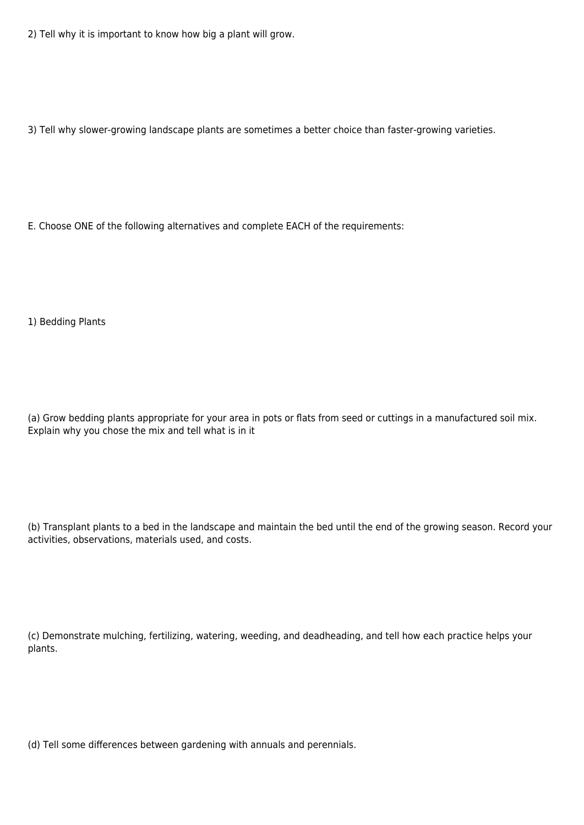2) Tell why it is important to know how big a plant will grow.

3) Tell why slower-growing landscape plants are sometimes a better choice than faster-growing varieties.

E. Choose ONE of the following alternatives and complete EACH of the requirements:

1) Bedding Plants

(a) Grow bedding plants appropriate for your area in pots or flats from seed or cuttings in a manufactured soil mix. Explain why you chose the mix and tell what is in it

(b) Transplant plants to a bed in the landscape and maintain the bed until the end of the growing season. Record your activities, observations, materials used, and costs.

(c) Demonstrate mulching, fertilizing, watering, weeding, and deadheading, and tell how each practice helps your plants.

(d) Tell some differences between gardening with annuals and perennials.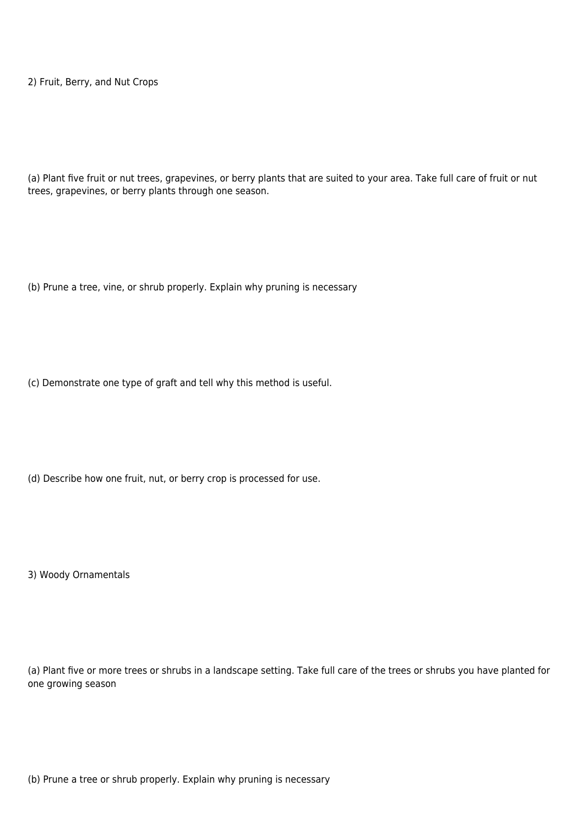2) Fruit, Berry, and Nut Crops

(a) Plant five fruit or nut trees, grapevines, or berry plants that are suited to your area. Take full care of fruit or nut trees, grapevines, or berry plants through one season.

(b) Prune a tree, vine, or shrub properly. Explain why pruning is necessary

(c) Demonstrate one type of graft and tell why this method is useful.

(d) Describe how one fruit, nut, or berry crop is processed for use.

3) Woody Ornamentals

(a) Plant five or more trees or shrubs in a landscape setting. Take full care of the trees or shrubs you have planted for one growing season

(b) Prune a tree or shrub properly. Explain why pruning is necessary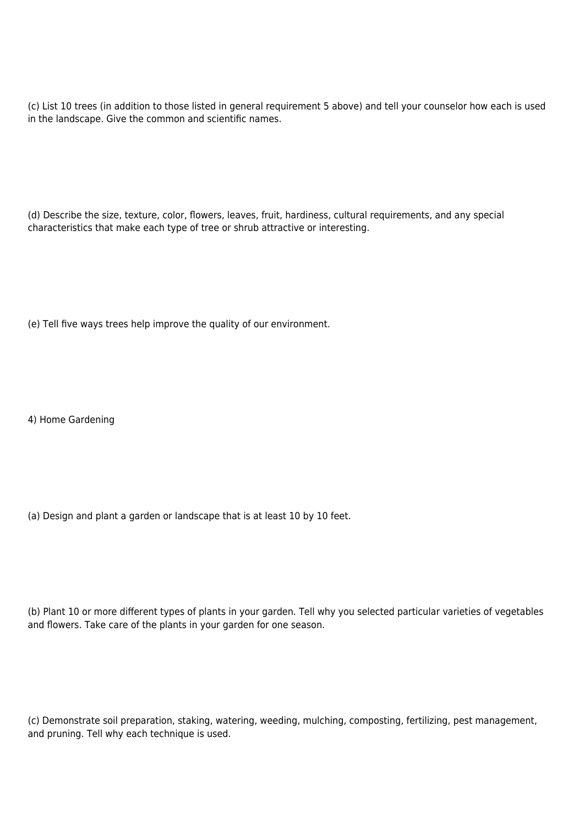(c) List 10 trees (in addition to those listed in general requirement 5 above) and tell your counselor how each is used in the landscape. Give the common and scientific names.

(d) Describe the size, texture, color, flowers, leaves, fruit, hardiness, cultural requirements, and any special characteristics that make each type of tree or shrub attractive or interesting.

(e) Tell five ways trees help improve the quality of our environment.

4) Home Gardening

(a) Design and plant a garden or landscape that is at least 10 by 10 feet.

(b) Plant 10 or more different types of plants in your garden. Tell why you selected particular varieties of vegetables and flowers. Take care of the plants in your garden for one season.

(c) Demonstrate soil preparation, staking, watering, weeding, mulching, composting, fertilizing, pest management, and pruning. Tell why each technique is used.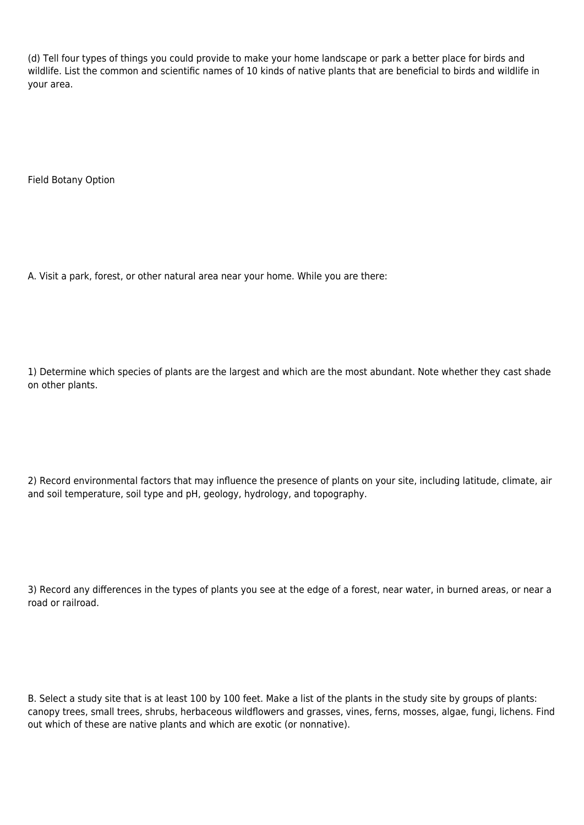(d) Tell four types of things you could provide to make your home landscape or park a better place for birds and wildlife. List the common and scientific names of 10 kinds of native plants that are beneficial to birds and wildlife in your area.

Field Botany Option

A. Visit a park, forest, or other natural area near your home. While you are there:

1) Determine which species of plants are the largest and which are the most abundant. Note whether they cast shade on other plants.

2) Record environmental factors that may influence the presence of plants on your site, including latitude, climate, air and soil temperature, soil type and pH, geology, hydrology, and topography.

3) Record any differences in the types of plants you see at the edge of a forest, near water, in burned areas, or near a road or railroad.

B. Select a study site that is at least 100 by 100 feet. Make a list of the plants in the study site by groups of plants: canopy trees, small trees, shrubs, herbaceous wildflowers and grasses, vines, ferns, mosses, algae, fungi, lichens. Find out which of these are native plants and which are exotic (or nonnative).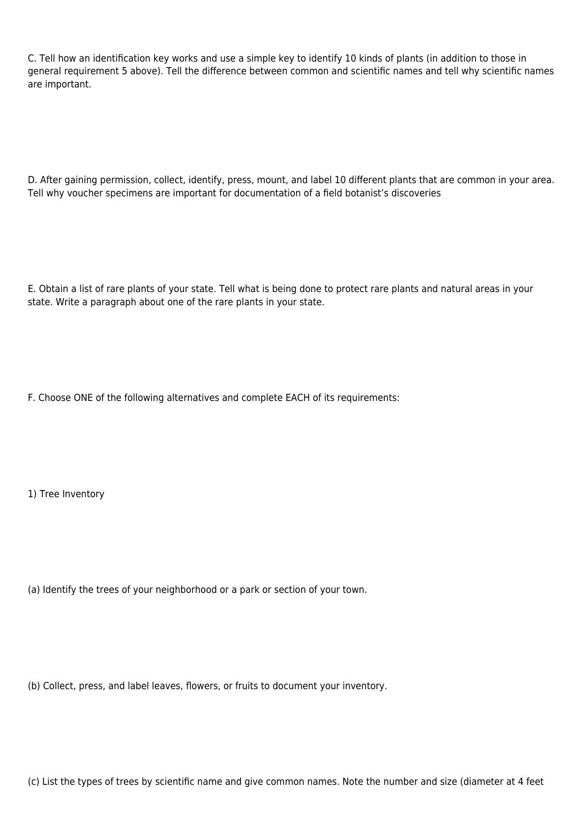C. Tell how an identification key works and use a simple key to identify 10 kinds of plants (in addition to those in general requirement 5 above). Tell the difference between common and scientific names and tell why scientific names are important.

D. After gaining permission, collect, identify, press, mount, and label 10 different plants that are common in your area. Tell why voucher specimens are important for documentation of a field botanist's discoveries

E. Obtain a list of rare plants of your state. Tell what is being done to protect rare plants and natural areas in your state. Write a paragraph about one of the rare plants in your state.

F. Choose ONE of the following alternatives and complete EACH of its requirements:

1) Tree Inventory

(a) Identify the trees of your neighborhood or a park or section of your town.

(b) Collect, press, and label leaves, flowers, or fruits to document your inventory.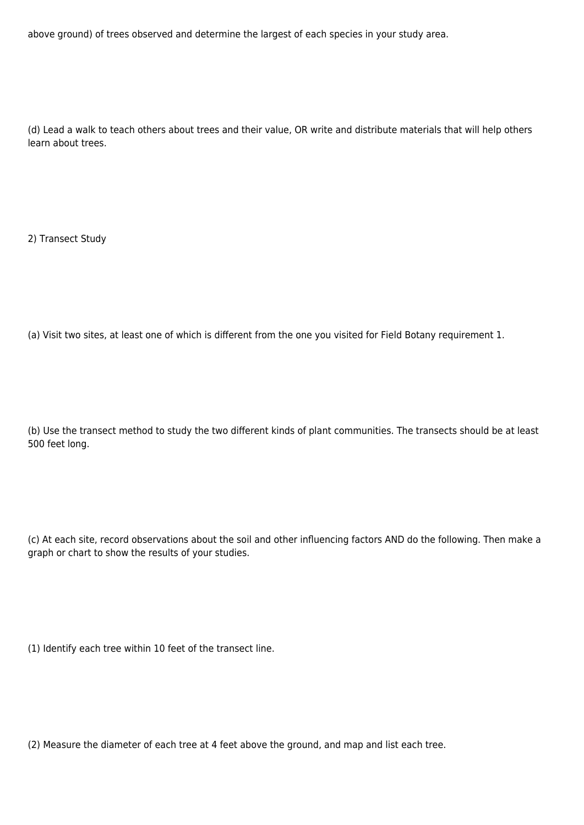above ground) of trees observed and determine the largest of each species in your study area.

(d) Lead a walk to teach others about trees and their value, OR write and distribute materials that will help others learn about trees.

2) Transect Study

(a) Visit two sites, at least one of which is different from the one you visited for Field Botany requirement 1.

(b) Use the transect method to study the two different kinds of plant communities. The transects should be at least 500 feet long.

(c) At each site, record observations about the soil and other influencing factors AND do the following. Then make a graph or chart to show the results of your studies.

(1) Identify each tree within 10 feet of the transect line.

(2) Measure the diameter of each tree at 4 feet above the ground, and map and list each tree.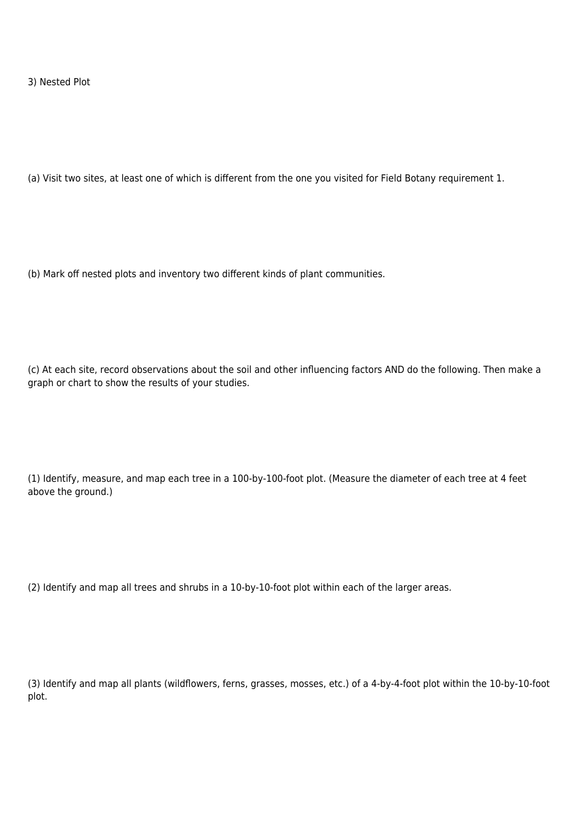3) Nested Plot

(a) Visit two sites, at least one of which is different from the one you visited for Field Botany requirement 1.

(b) Mark off nested plots and inventory two different kinds of plant communities.

(c) At each site, record observations about the soil and other influencing factors AND do the following. Then make a graph or chart to show the results of your studies.

(1) Identify, measure, and map each tree in a 100-by-100-foot plot. (Measure the diameter of each tree at 4 feet above the ground.)

(2) Identify and map all trees and shrubs in a 10-by-10-foot plot within each of the larger areas.

(3) Identify and map all plants (wildflowers, ferns, grasses, mosses, etc.) of a 4-by-4-foot plot within the 10-by-10-foot plot.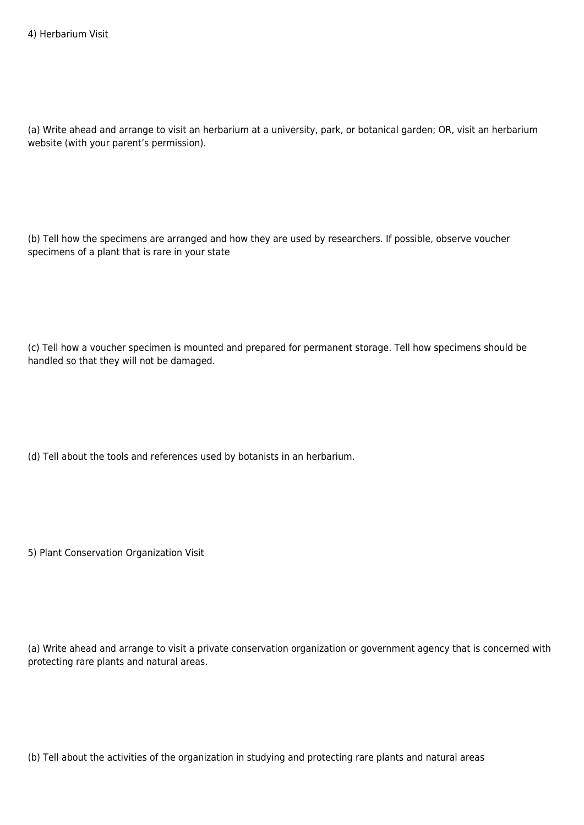(a) Write ahead and arrange to visit an herbarium at a university, park, or botanical garden; OR, visit an herbarium website (with your parent's permission).

(b) Tell how the specimens are arranged and how they are used by researchers. If possible, observe voucher specimens of a plant that is rare in your state

(c) Tell how a voucher specimen is mounted and prepared for permanent storage. Tell how specimens should be handled so that they will not be damaged.

(d) Tell about the tools and references used by botanists in an herbarium.

5) Plant Conservation Organization Visit

(a) Write ahead and arrange to visit a private conservation organization or government agency that is concerned with protecting rare plants and natural areas.

(b) Tell about the activities of the organization in studying and protecting rare plants and natural areas